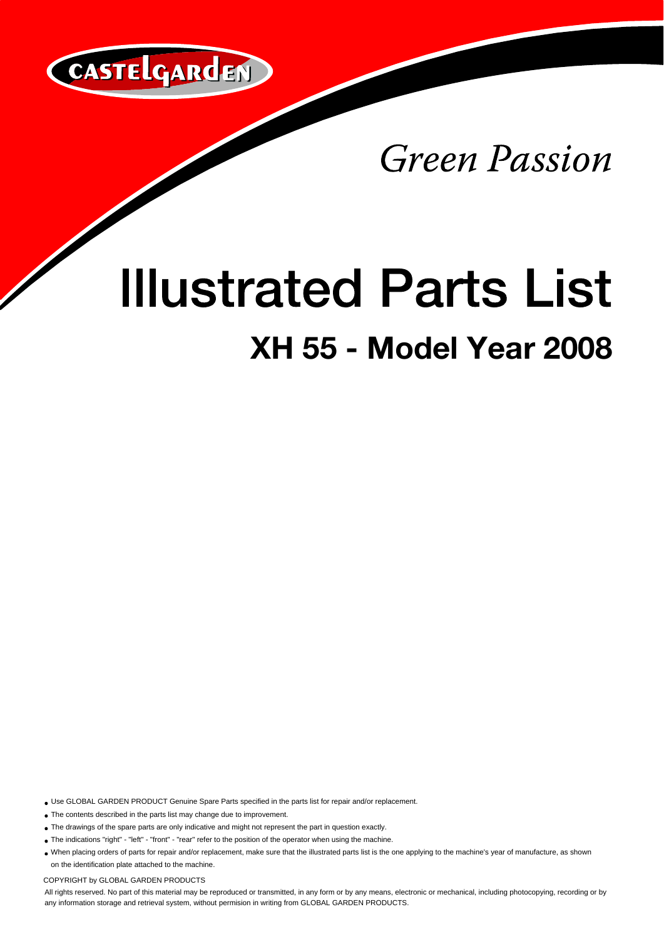

**Green Passion** 

## **Illustrated Parts List**

## **XH 55 - Model Year 2008**

Use GLOBAL GARDEN PRODUCT Genuine Spare Parts specified in the parts list for repair and/or replacement.

The contents described in the parts list may change due to improvement.

- The drawings of the spare parts are only indicative and might not represent the part in question exactly.
- The indications "right" "left" "front" "rear" refer to the position of the operator when using the machine.
- When placing orders of parts for repair and/or replacement, make sure that the illustrated parts list is the one applying to the machine's year of manufacture, as shown on the identification plate attached to the machine.

COPYRIGHT by GLOBAL GARDEN PRODUCTS

All rights reserved. No part of this material may be reproduced or transmitted, in any form or by any means, electronic or mechanical, including photocopying, recording or by any information storage and retrieval system, without permision in writing from GLOBAL GARDEN PRODUCTS.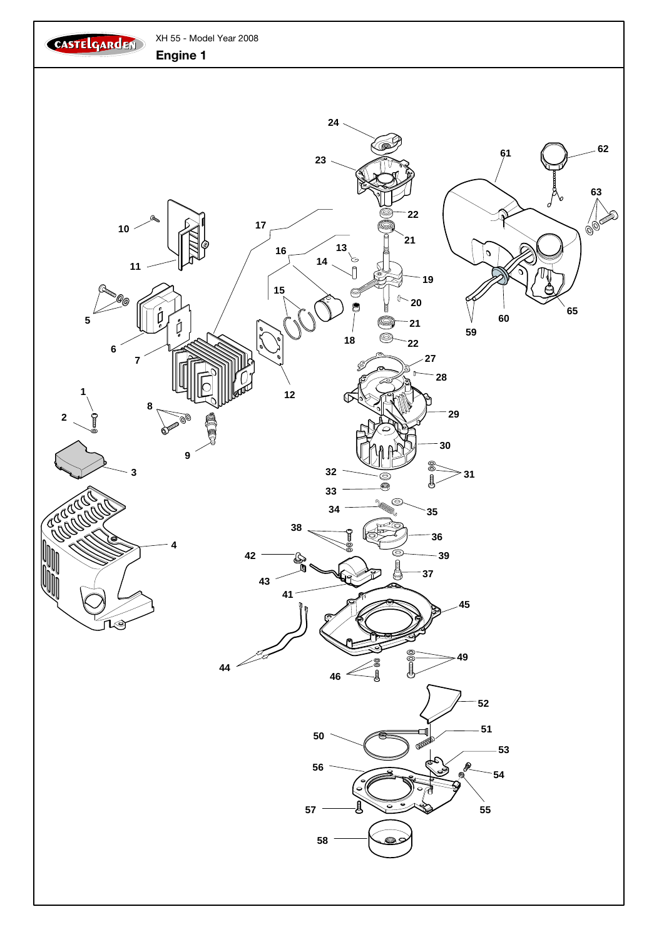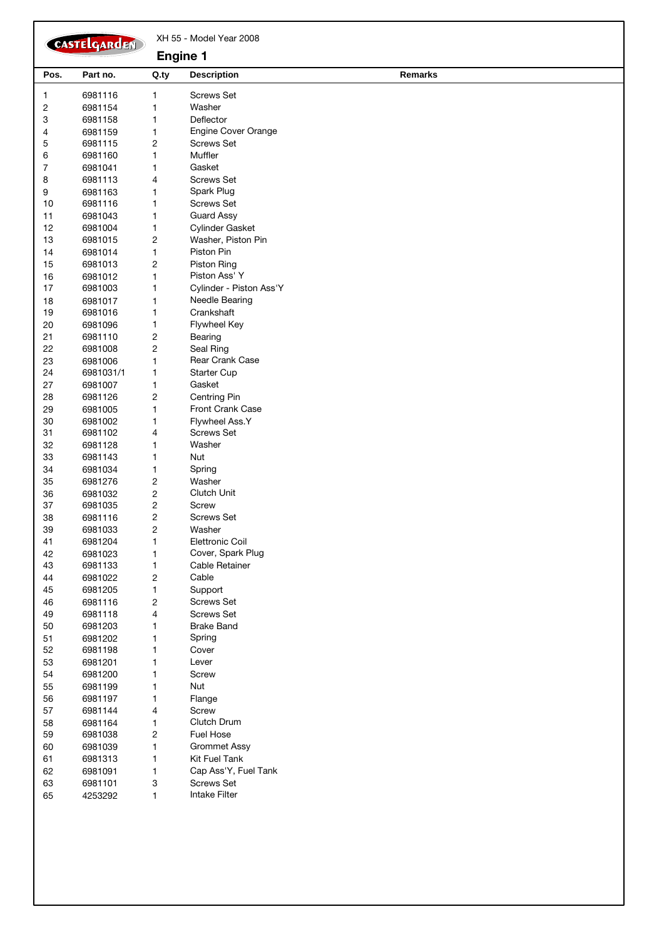| CASTELGARDEN     |                      |                         | XH 55 - Model Year 2008<br><b>Engine 1</b> |                |  |  |
|------------------|----------------------|-------------------------|--------------------------------------------|----------------|--|--|
| Pos.             | Part no.             | Q.ty                    | <b>Description</b>                         | <b>Remarks</b> |  |  |
| $\mathbf{1}$     | 6981116              | 1                       | <b>Screws Set</b>                          |                |  |  |
| $\sqrt{2}$       | 6981154              | 1                       | Washer                                     |                |  |  |
| 3                | 6981158              | 1                       | Deflector                                  |                |  |  |
| 4                | 6981159              | 1                       | Engine Cover Orange                        |                |  |  |
| 5                | 6981115              | 2                       | <b>Screws Set</b>                          |                |  |  |
| 6                | 6981160              | 1                       | Muffler                                    |                |  |  |
| $\boldsymbol{7}$ | 6981041              | 1                       | Gasket                                     |                |  |  |
| 8                | 6981113              | 4                       | <b>Screws Set</b>                          |                |  |  |
| 9                | 6981163              | 1                       | Spark Plug                                 |                |  |  |
| 10               | 6981116              | 1                       | <b>Screws Set</b>                          |                |  |  |
| 11               | 6981043              | 1                       | <b>Guard Assy</b>                          |                |  |  |
| 12               | 6981004              | 1                       | Cylinder Gasket                            |                |  |  |
| 13               | 6981015              | 2                       | Washer, Piston Pin                         |                |  |  |
| 14               | 6981014              | 1                       | Piston Pin                                 |                |  |  |
| 15               | 6981013              | 2                       | <b>Piston Ring</b>                         |                |  |  |
| 16               | 6981012              | 1                       | Piston Ass' Y                              |                |  |  |
| 17               | 6981003              | 1                       | Cylinder - Piston Ass'Y                    |                |  |  |
| 18               | 6981017              | 1                       | Needle Bearing                             |                |  |  |
| 19               | 6981016              | 1                       | Crankshaft                                 |                |  |  |
| 20               | 6981096              | 1                       | Flywheel Key                               |                |  |  |
| 21               | 6981110              | 2                       | Bearing                                    |                |  |  |
| 22               | 6981008              | 2                       | Seal Ring<br>Rear Crank Case               |                |  |  |
| 23<br>24         | 6981006<br>6981031/1 | 1<br>1                  | <b>Starter Cup</b>                         |                |  |  |
| 27               | 6981007              | 1                       | Gasket                                     |                |  |  |
| 28               | 6981126              | 2                       | Centring Pin                               |                |  |  |
| 29               | 6981005              | 1                       | Front Crank Case                           |                |  |  |
| 30               | 6981002              | 1                       | Flywheel Ass.Y                             |                |  |  |
| 31               | 6981102              | 4                       | <b>Screws Set</b>                          |                |  |  |
| 32               | 6981128              | 1                       | Washer                                     |                |  |  |
| 33               | 6981143              | 1                       | Nut                                        |                |  |  |
| 34               | 6981034              | 1                       | Spring                                     |                |  |  |
| 35               | 6981276              | $\overline{\mathbf{c}}$ | Washer                                     |                |  |  |
| 36               | 6981032              | $\overline{c}$          | Clutch Unit                                |                |  |  |
| 37               | 6981035              | 2                       | Screw                                      |                |  |  |
| 38               | 6981116              | 2                       | <b>Screws Set</b>                          |                |  |  |
| 39               | 6981033              | 2                       | Washer                                     |                |  |  |
| 41               | 6981204              | 1                       | <b>Elettronic Coil</b>                     |                |  |  |
| 42               | 6981023              | 1                       | Cover, Spark Plug                          |                |  |  |
| 43               | 6981133              | 1                       | Cable Retainer                             |                |  |  |
| 44               | 6981022              | $\overline{\mathbf{c}}$ | Cable                                      |                |  |  |
| 45               | 6981205              | 1                       | Support                                    |                |  |  |
| 46               | 6981116              | $\overline{\mathbf{c}}$ | <b>Screws Set</b>                          |                |  |  |
| 49               | 6981118              | 4                       | <b>Screws Set</b>                          |                |  |  |
| $50\,$           | 6981203              | 1                       | <b>Brake Band</b>                          |                |  |  |
| 51<br>52         | 6981202<br>6981198   | 1<br>1                  | Spring<br>Cover                            |                |  |  |
|                  |                      |                         | Lever                                      |                |  |  |
| 53<br>54         | 6981201<br>6981200   | 1<br>1                  | Screw                                      |                |  |  |
| 55               | 6981199              | 1                       | Nut                                        |                |  |  |
| 56               | 6981197              | 1                       | Flange                                     |                |  |  |
| 57               | 6981144              | 4                       | Screw                                      |                |  |  |
| 58               | 6981164              | 1                       | Clutch Drum                                |                |  |  |
| 59               | 6981038              | $\overline{\mathbf{c}}$ | <b>Fuel Hose</b>                           |                |  |  |
| 60               | 6981039              | 1                       | <b>Grommet Assy</b>                        |                |  |  |
| 61               | 6981313              | 1                       | Kit Fuel Tank                              |                |  |  |
| 62               | 6981091              | 1                       | Cap Ass'Y, Fuel Tank                       |                |  |  |
| 63               | 6981101              | 3                       | <b>Screws Set</b>                          |                |  |  |
| 65               | 4253292              | 1                       | Intake Filter                              |                |  |  |
|                  |                      |                         |                                            |                |  |  |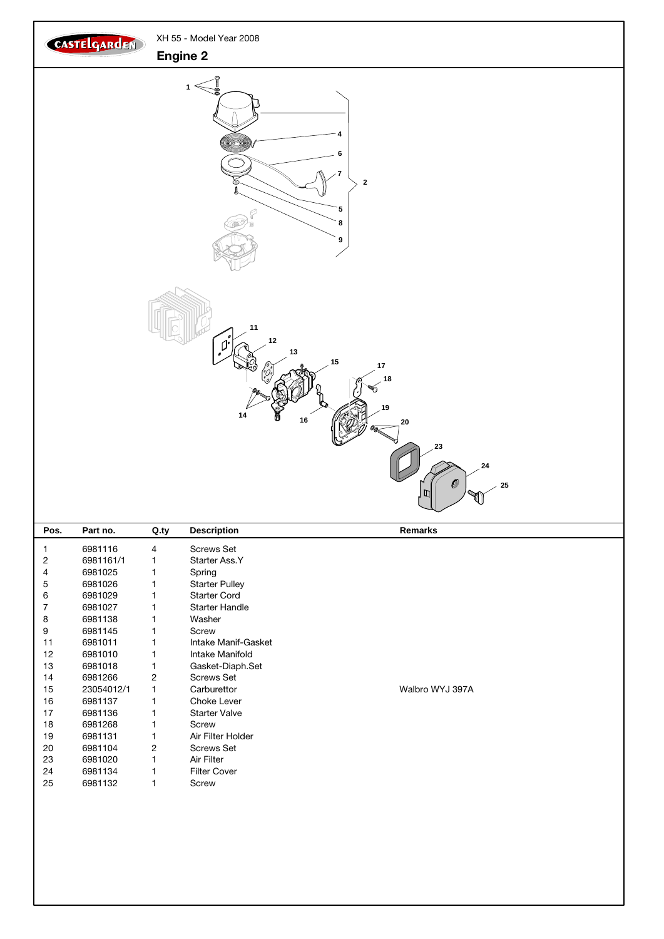

|    | 6981116    | 4              | <b>Screws Set</b>     |                 |  |
|----|------------|----------------|-----------------------|-----------------|--|
| 2  | 6981161/1  |                | Starter Ass.Y         |                 |  |
| 4  | 6981025    |                | Spring                |                 |  |
| 5  | 6981026    |                | <b>Starter Pulley</b> |                 |  |
| 6  | 6981029    |                | <b>Starter Cord</b>   |                 |  |
| 7  | 6981027    |                | <b>Starter Handle</b> |                 |  |
| 8  | 6981138    |                | Washer                |                 |  |
| 9  | 6981145    |                | Screw                 |                 |  |
| 11 | 6981011    |                | Intake Manif-Gasket   |                 |  |
| 12 | 6981010    |                | Intake Manifold       |                 |  |
| 13 | 6981018    |                | Gasket-Diaph.Set      |                 |  |
| 14 | 6981266    | $\overline{2}$ | <b>Screws Set</b>     |                 |  |
| 15 | 23054012/1 |                | Carburettor           | Walbro WYJ 397A |  |
| 16 | 6981137    |                | Choke Lever           |                 |  |
| 17 | 6981136    |                | <b>Starter Valve</b>  |                 |  |
| 18 | 6981268    |                | Screw                 |                 |  |
| 19 | 6981131    |                | Air Filter Holder     |                 |  |
| 20 | 6981104    | $\overline{2}$ | <b>Screws Set</b>     |                 |  |
| 23 | 6981020    |                | Air Filter            |                 |  |
| 24 | 6981134    |                | <b>Filter Cover</b>   |                 |  |
| 25 | 6981132    |                | Screw                 |                 |  |
|    |            |                |                       |                 |  |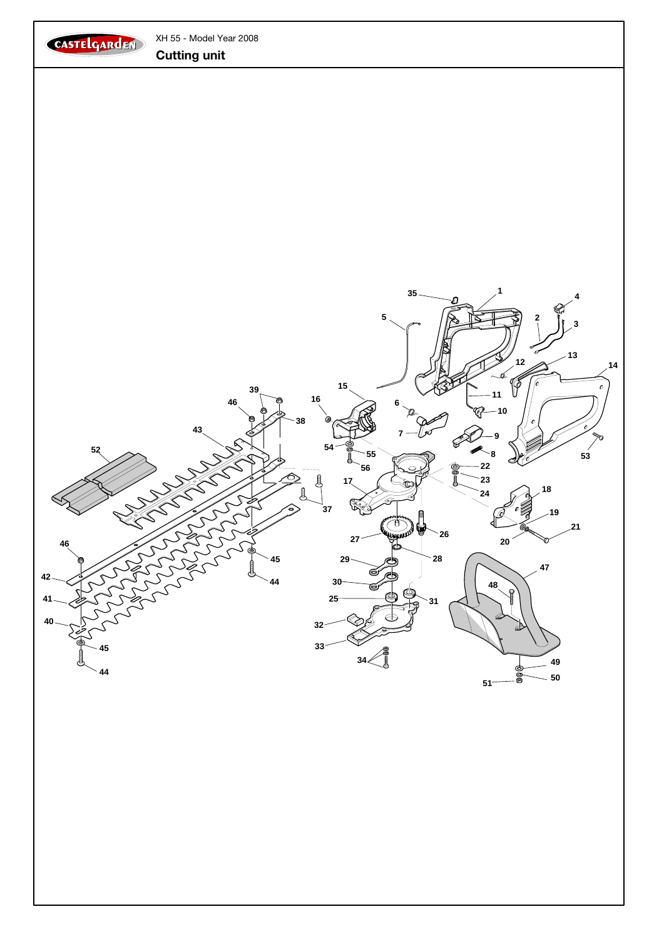